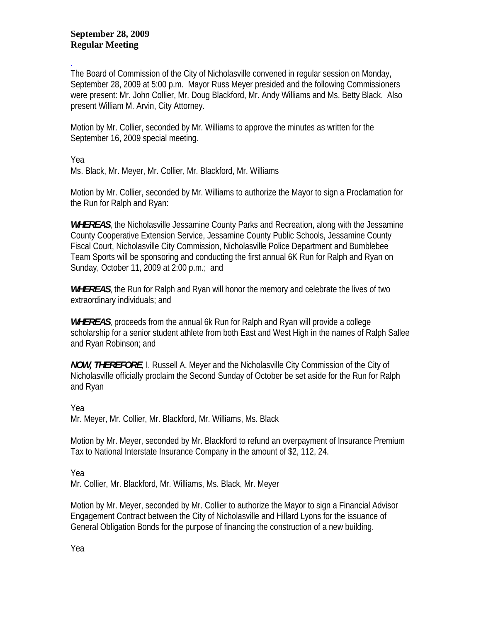## **September 28, 2009 Regular Meeting**

. The Board of Commission of the City of Nicholasville convened in regular session on Monday, September 28, 2009 at 5:00 p.m. Mayor Russ Meyer presided and the following Commissioners were present: Mr. John Collier, Mr. Doug Blackford, Mr. Andy Williams and Ms. Betty Black. Also present William M. Arvin, City Attorney.

Motion by Mr. Collier, seconded by Mr. Williams to approve the minutes as written for the September 16, 2009 special meeting.

Yea

Ms. Black, Mr. Meyer, Mr. Collier, Mr. Blackford, Mr. Williams

Motion by Mr. Collier, seconded by Mr. Williams to authorize the Mayor to sign a Proclamation for the Run for Ralph and Ryan:

*WHEREAS*, the Nicholasville Jessamine County Parks and Recreation, along with the Jessamine County Cooperative Extension Service, Jessamine County Public Schools, Jessamine County Fiscal Court, Nicholasville City Commission, Nicholasville Police Department and Bumblebee Team Sports will be sponsoring and conducting the first annual 6K Run for Ralph and Ryan on Sunday, October 11, 2009 at 2:00 p.m.; and

*WHEREAS*, the Run for Ralph and Ryan will honor the memory and celebrate the lives of two extraordinary individuals; and

*WHEREAS*, proceeds from the annual 6k Run for Ralph and Ryan will provide a college scholarship for a senior student athlete from both East and West High in the names of Ralph Sallee and Ryan Robinson; and

*NOW, THEREFORE*, I, Russell A. Meyer and the Nicholasville City Commission of the City of Nicholasville officially proclaim the Second Sunday of October be set aside for the Run for Ralph and Ryan

Yea

Mr. Meyer, Mr. Collier, Mr. Blackford, Mr. Williams, Ms. Black

Motion by Mr. Meyer, seconded by Mr. Blackford to refund an overpayment of Insurance Premium Tax to National Interstate Insurance Company in the amount of \$2, 112, 24.

Yea

Mr. Collier, Mr. Blackford, Mr. Williams, Ms. Black, Mr. Meyer

Motion by Mr. Meyer, seconded by Mr. Collier to authorize the Mayor to sign a Financial Advisor Engagement Contract between the City of Nicholasville and Hillard Lyons for the issuance of General Obligation Bonds for the purpose of financing the construction of a new building.

Yea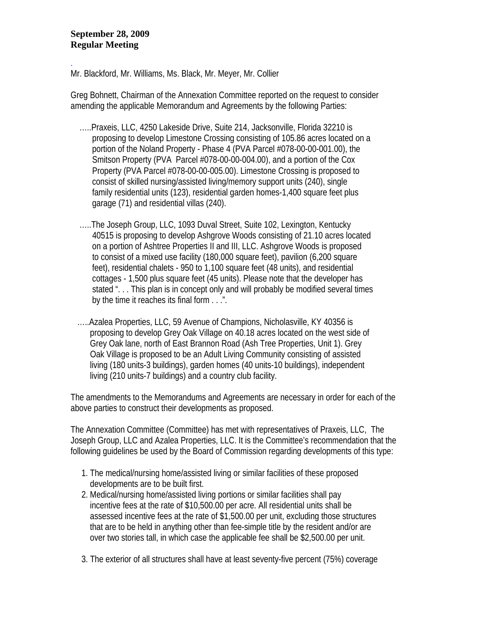## **September 28, 2009 Regular Meeting**

.

Mr. Blackford, Mr. Williams, Ms. Black, Mr. Meyer, Mr. Collier

Greg Bohnett, Chairman of the Annexation Committee reported on the request to consider amending the applicable Memorandum and Agreements by the following Parties:

- …..Praxeis, LLC, 4250 Lakeside Drive, Suite 214, Jacksonville, Florida 32210 is proposing to develop Limestone Crossing consisting of 105.86 acres located on a portion of the Noland Property - Phase 4 (PVA Parcel #078-00-00-001.00), the Smitson Property (PVA Parcel #078-00-00-004.00), and a portion of the Cox Property (PVA Parcel #078-00-00-005.00). Limestone Crossing is proposed to consist of skilled nursing/assisted living/memory support units (240), single family residential units (123), residential garden homes-1,400 square feet plus garage (71) and residential villas (240).
- …..The Joseph Group, LLC, 1093 Duval Street, Suite 102, Lexington, Kentucky 40515 is proposing to develop Ashgrove Woods consisting of 21.10 acres located on a portion of Ashtree Properties II and III, LLC. Ashgrove Woods is proposed to consist of a mixed use facility (180,000 square feet), pavilion (6,200 square feet), residential chalets - 950 to 1,100 square feet (48 units), and residential cottages - 1,500 plus square feet (45 units). Please note that the developer has stated "... This plan is in concept only and will probably be modified several times by the time it reaches its final form . . .".
- …..Azalea Properties, LLC, 59 Avenue of Champions, Nicholasville, KY 40356 is proposing to develop Grey Oak Village on 40.18 acres located on the west side of Grey Oak lane, north of East Brannon Road (Ash Tree Properties, Unit 1). Grey Oak Village is proposed to be an Adult Living Community consisting of assisted living (180 units-3 buildings), garden homes (40 units-10 buildings), independent living (210 units-7 buildings) and a country club facility.

The amendments to the Memorandums and Agreements are necessary in order for each of the above parties to construct their developments as proposed.

The Annexation Committee (Committee) has met with representatives of Praxeis, LLC, The Joseph Group, LLC and Azalea Properties, LLC. It is the Committee's recommendation that the following guidelines be used by the Board of Commission regarding developments of this type:

- 1. The medical/nursing home/assisted living or similar facilities of these proposed developments are to be built first.
- 2. Medical/nursing home/assisted living portions or similar facilities shall pay incentive fees at the rate of \$10,500.00 per acre. All residential units shall be assessed incentive fees at the rate of \$1,500.00 per unit, excluding those structures that are to be held in anything other than fee-simple title by the resident and/or are over two stories tall, in which case the applicable fee shall be \$2,500.00 per unit.
- 3. The exterior of all structures shall have at least seventy-five percent (75%) coverage